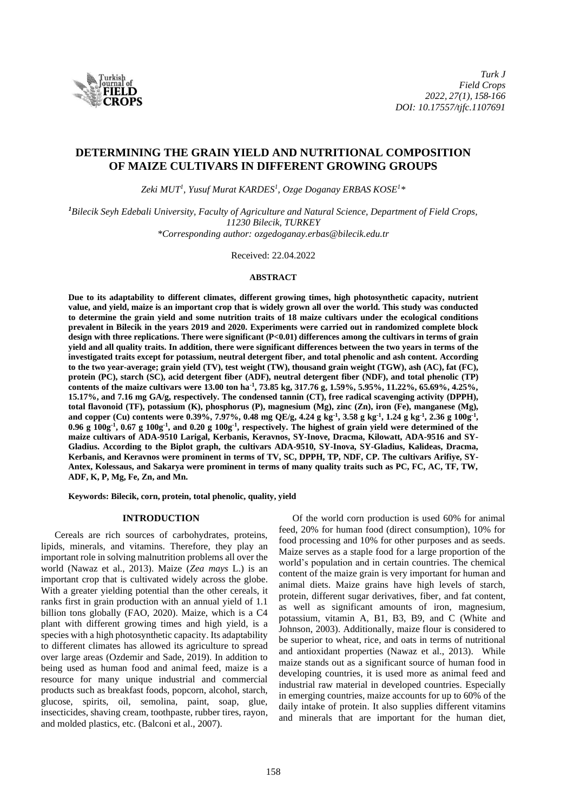

# **DETERMINING THE GRAIN YIELD AND NUTRITIONAL COMPOSITION OF MAIZE CULTIVARS IN DIFFERENT GROWING GROUPS**

*Zeki MUT<sup>1</sup> , Yusuf Murat KARDES<sup>1</sup> , Ozge Doganay ERBAS KOSE<sup>1</sup>\**

*<sup>1</sup>Bilecik Seyh Edebali University, Faculty of Agriculture and Natural Science, Department of Field Crops, 11230 Bilecik, TURKEY \*Corresponding author: [ozgedoganay.erbas@bilecik.edu.tr](mailto:ozgedoganay.erbas@bilecik.edu.tr)*

Received: 22.04.2022

#### **ABSTRACT**

**Due to its adaptability to different climates, different growing times, high photosynthetic capacity, nutrient value, and yield, maize is an important crop that is widely grown all over the world. This study was conducted to determine the grain yield and some nutrition traits of 18 maize cultivars under the ecological conditions prevalent in Bilecik in the years 2019 and 2020. Experiments were carried out in randomized complete block design with three replications. There were significant (P<0.01) differences among the cultivars in terms of grain yield and all quality traits. In addition, there were significant differences between the two years in terms of the investigated traits except for potassium, neutral detergent fiber, and total phenolic and ash content. According to the two year-average; grain yield (TV), test weight (TW), thousand grain weight (TGW), ash (AC), fat (FC), protein (PC), starch (SC), acid detergent fiber (ADF), neutral detergent fiber (NDF), and total phenolic (TP) contents of the maize cultivars were 13.00 ton ha-1 , 73.85 kg, 317.76 g, 1.59%, 5.95%, 11.22%, 65.69%, 4.25%, 15.17%, and 7.16 mg GA/g, respectively. The condensed tannin (CT), free radical scavenging activity (DPPH), total flavonoid (TF), potassium (K), phosphorus (P), magnesium (Mg), zinc (Zn), iron (Fe), manganese (Mg), and copper (Cu) contents were 0.39%, 7.97%, 0.48 mg QE/g, 4.24 g kg-1 , 3.58 g kg-1 , 1.24 g kg-1 , 2.36 g 100g-1 , 0.96 g 100g-1 , 0.67 g 100g-1 , and 0.20 g 100g-1 , respectively. The highest of grain yield were determined of the maize cultivars of ADA-9510 Larigal, Kerbanis, Keravnos, SY-Inove, Dracma, Kilowatt, ADA-9516 and SY-Gladius. According to the Biplot graph, the cultivars ADA-9510, SY-Inova, SY-Gladius, Kalideas, Dracma, Kerbanis, and Keravnos were prominent in terms of TV, SC, DPPH, TP, NDF, CP. The cultivars Arifiye, SY-Antex, Kolessaus, and Sakarya were prominent in terms of many quality traits such as PC, FC, AC, TF, TW, ADF, K, P, Mg, Fe, Zn, and Mn.**

**Keywords: Bilecik, corn, protein, total phenolic, quality, yield**

### **INTRODUCTION**

Cereals are rich sources of carbohydrates, proteins, lipids, minerals, and vitamins. Therefore, they play an important role in solving malnutrition problems all over the world (Nawaz et al., 2013). Maize (*Zea mays* L.) is an important crop that is cultivated widely across the globe. With a greater yielding potential than the other cereals, it ranks first in grain production with an annual yield of 1.1 billion tons globally (FAO, 2020). Maize, which is a C4 plant with different growing times and high yield, is a species with a high photosynthetic capacity. Its adaptability to different climates has allowed its agriculture to spread over large areas (Ozdemir and Sade, 2019). In addition to being used as human food and animal feed, maize is a resource for many unique industrial and commercial products such as breakfast foods, popcorn, alcohol, starch, glucose, spirits, oil, semolina, paint, soap, glue, insecticides, shaving cream, toothpaste, rubber tires, rayon, and molded plastics, etc. (Balconi et al., 2007).

Of the world corn production is used 60% for animal feed, 20% for human food (direct consumption), 10% for food processing and 10% for other purposes and as seeds. Maize serves as a staple food for a large proportion of the world's population and in certain countries. The chemical content of the maize grain is very important for human and animal diets. Maize grains have high levels of starch, protein, different sugar derivatives, fiber, and fat content, as well as significant amounts of iron, magnesium, potassium, vitamin A, B1, B3, B9, and C (White and Johnson, 2003). Additionally, maize flour is considered to be superior to wheat, rice, and oats in terms of nutritional and antioxidant properties (Nawaz et al., 2013). While maize stands out as a significant source of human food in developing countries, it is used more as animal feed and industrial raw material in developed countries. Especially in emerging countries, maize accounts for up to 60% of the daily intake of protein. It also supplies different vitamins and minerals that are important for the human diet,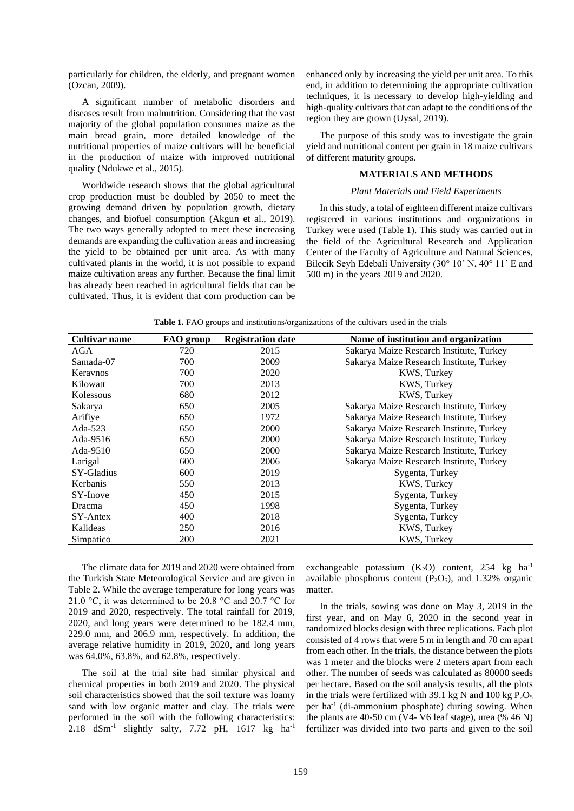particularly for children, the elderly, and pregnant women (Ozcan, 2009).

A significant number of metabolic disorders and diseases result from malnutrition. Considering that the vast majority of the global population consumes maize as the main bread grain, more detailed knowledge of the nutritional properties of maize cultivars will be beneficial in the production of maize with improved nutritional quality (Ndukwe et al., 2015).

Worldwide research shows that the global agricultural crop production must be doubled by 2050 to meet the growing demand driven by population growth, dietary changes, and biofuel consumption (Akgun et al., 2019). The two ways generally adopted to meet these increasing demands are expanding the cultivation areas and increasing the yield to be obtained per unit area. As with many cultivated plants in the world, it is not possible to expand maize cultivation areas any further. Because the final limit has already been reached in agricultural fields that can be cultivated. Thus, it is evident that corn production can be enhanced only by increasing the yield per unit area. To this end, in addition to determining the appropriate cultivation techniques, it is necessary to develop high-yielding and high-quality cultivars that can adapt to the conditions of the region they are grown (Uysal, 2019).

The purpose of this study was to investigate the grain yield and nutritional content per grain in 18 maize cultivars of different maturity groups.

## **MATERIALS AND METHODS**

### *Plant Materials and Field Experiments*

In this study, a total of eighteen different maize cultivars registered in various institutions and organizations in Turkey were used (Table 1). This study was carried out in the field of the Agricultural Research and Application Center of the Faculty of Agriculture and Natural Sciences, Bilecik Seyh Edebali University (30° 10´ N, 40° 11´ E and 500 m) in the years 2019 and 2020.

| Cultivar name | FAO group  | <b>Registration date</b> | Name of institution and organization     |
|---------------|------------|--------------------------|------------------------------------------|
| AGA           | 720        | 2015                     | Sakarya Maize Research Institute, Turkey |
| Samada-07     | 700        | 2009                     | Sakarya Maize Research Institute, Turkey |
| Keraynos      | 700        | 2020                     | KWS, Turkey                              |
| Kilowatt      | 700        | 2013                     | KWS, Turkey                              |
| Kolessous     | 680        | 2012                     | <b>KWS, Turkey</b>                       |
| Sakarya       | 650        | 2005                     | Sakarya Maize Research Institute, Turkey |
| Arifiye       | 650        | 1972                     | Sakarya Maize Research Institute, Turkey |
| Ada-523       | 650        | 2000                     | Sakarya Maize Research Institute, Turkey |
| Ada-9516      | 650        | 2000                     | Sakarya Maize Research Institute, Turkey |
| Ada-9510      | 650        | 2000                     | Sakarya Maize Research Institute, Turkey |
| Larigal       | 600        | 2006                     | Sakarya Maize Research Institute, Turkey |
| SY-Gladius    | 600        | 2019                     | Sygenta, Turkey                          |
| Kerbanis      | 550        | 2013                     | KWS, Turkey                              |
| SY-Inove      | 450        | 2015                     | Sygenta, Turkey                          |
| <b>Dracma</b> | 450        | 1998                     | Sygenta, Turkey                          |
| SY-Antex      | 400        | 2018                     | Sygenta, Turkey                          |
| Kalideas      | 250        | 2016                     | KWS, Turkey                              |
| Simpatico     | <b>200</b> | 2021                     | KWS, Turkey                              |

**Table 1.** FAO groups and institutions/organizations of the cultivars used in the trials

The climate data for 2019 and 2020 were obtained from the Turkish State Meteorological Service and are given in Table 2. While the average temperature for long years was 21.0 °C, it was determined to be 20.8 °C and 20.7 °C for 2019 and 2020, respectively. The total rainfall for 2019, 2020, and long years were determined to be 182.4 mm, 229.0 mm, and 206.9 mm, respectively. In addition, the average relative humidity in 2019, 2020, and long years was 64.0%, 63.8%, and 62.8%, respectively.

The soil at the trial site had similar physical and chemical properties in both 2019 and 2020. The physical soil characteristics showed that the soil texture was loamy sand with low organic matter and clay. The trials were performed in the soil with the following characteristics: 2.18  $dSm^{-1}$  slightly salty, 7.72 pH, 1617 kg ha<sup>-1</sup>

exchangeable potassium  $(K_2O)$  content, 254 kg ha<sup>-1</sup> available phosphorus content  $(P_2O_5)$ , and 1.32% organic matter.

In the trials, sowing was done on May 3, 2019 in the first year, and on May 6, 2020 in the second year in randomized blocks design with three replications. Each plot consisted of 4 rows that were 5 m in length and 70 cm apart from each other. In the trials, the distance between the plots was 1 meter and the blocks were 2 meters apart from each other. The number of seeds was calculated as 80000 seeds per hectare. Based on the soil analysis results, all the plots in the trials were fertilized with 39.1 kg N and 100 kg  $P_2O_5$ per ha<sup>-1</sup> (di-ammonium phosphate) during sowing. When the plants are 40-50 cm (V4- V6 leaf stage), urea (% 46 N) fertilizer was divided into two parts and given to the soil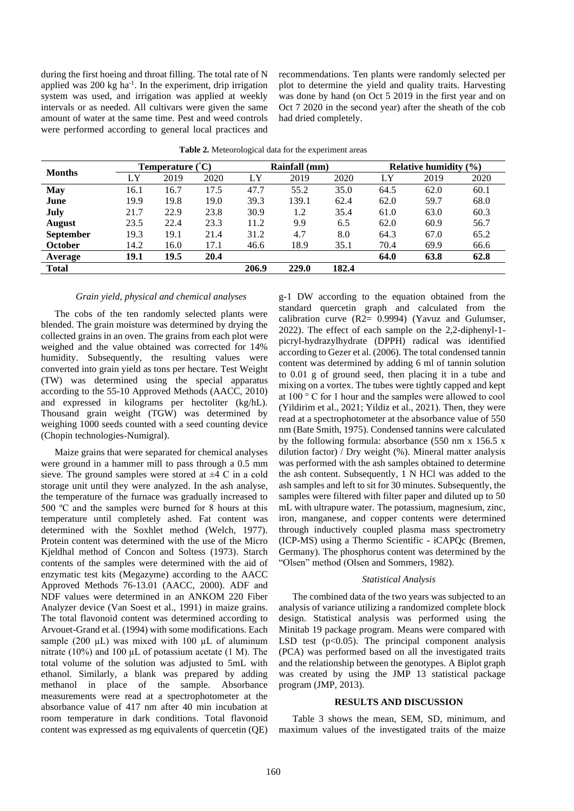during the first hoeing and throat filling. The total rate of N applied was  $200 \text{ kg} \text{ ha}^{-1}$ . In the experiment, drip irrigation system was used, and irrigation was applied at weekly intervals or as needed. All cultivars were given the same amount of water at the same time. Pest and weed controls were performed according to general local practices and

recommendations. Ten plants were randomly selected per plot to determine the yield and quality traits. Harvesting was done by hand (on Oct 5 2019 in the first year and on Oct 7 2020 in the second year) after the sheath of the cob had dried completely.

| <b>Months</b>    |      | Temperature $(^{\circ}C)$ |      |       | Rainfall (mm) |       | Relative humidity $(\% )$ |      |      |  |
|------------------|------|---------------------------|------|-------|---------------|-------|---------------------------|------|------|--|
|                  | LY   | 2019                      | 2020 | LY    | 2019          | 2020  | LY                        | 2019 | 2020 |  |
| <b>May</b>       | 16.1 | 16.7                      | 17.5 | 47.7  | 55.2          | 35.0  | 64.5                      | 62.0 | 60.1 |  |
| June             | 19.9 | 19.8                      | 19.0 | 39.3  | 139.1         | 62.4  | 62.0                      | 59.7 | 68.0 |  |
| July             | 21.7 | 22.9                      | 23.8 | 30.9  | 1.2           | 35.4  | 61.0                      | 63.0 | 60.3 |  |
| <b>August</b>    | 23.5 | 22.4                      | 23.3 | 11.2  | 9.9           | 6.5   | 62.0                      | 60.9 | 56.7 |  |
| <b>September</b> | 19.3 | 19.1                      | 21.4 | 31.2  | 4.7           | 8.0   | 64.3                      | 67.0 | 65.2 |  |
| <b>October</b>   | 14.2 | 16.0                      | 17.1 | 46.6  | 18.9          | 35.1  | 70.4                      | 69.9 | 66.6 |  |
| Average          | 19.1 | 19.5                      | 20.4 |       |               |       | 64.0                      | 63.8 | 62.8 |  |
| <b>Total</b>     |      |                           |      | 206.9 | 229.0         | 182.4 |                           |      |      |  |

**Table 2.** Meteorological data for the experiment areas

### *Grain yield, physical and chemical analyses*

The cobs of the ten randomly selected plants were blended. The grain moisture was determined by drying the collected grains in an oven. The grains from each plot were weighed and the value obtained was corrected for 14% humidity. Subsequently, the resulting values were converted into grain yield as tons per hectare. Test Weight (TW) was determined using the special apparatus according to the 55-10 Approved Methods (AACC, 2010) and expressed in kilograms per hectoliter (kg/hL). Thousand grain weight (TGW) was determined by weighing 1000 seeds counted with a seed counting device (Chopin technologies-Numigral).

Maize grains that were separated for chemical analyses were ground in a hammer mill to pass through a 0.5 mm sieve. The ground samples were stored at  $\pm 4$  C in a cold storage unit until they were analyzed. In the ash analyse, the temperature of the furnace was gradually increased to 500 ºC and the samples were burned for 8 hours at this temperature until completely ashed. Fat content was determined with the Soxhlet method (Welch, 1977). Protein content was determined with the use of the Micro Kjeldhal method of Concon and Soltess (1973). Starch contents of the samples were determined with the aid of enzymatic test kits (Megazyme) according to the AACC Approved Methods 76-13.01 (AACC, 2000). ADF and NDF values were determined in an ANKOM 220 Fiber Analyzer device (Van Soest et al., 1991) in maize grains. The total flavonoid content was determined according to Arvouet-Grand et al. (1994) with some modifications. Each sample (200  $\mu$ L) was mixed with 100  $\mu$ L of aluminum nitrate (10%) and 100 µL of potassium acetate (1 M). The total volume of the solution was adjusted to 5mL with ethanol. Similarly, a blank was prepared by adding methanol in place of the sample. Absorbance measurements were read at a spectrophotometer at the absorbance value of 417 nm after 40 min incubation at room temperature in dark conditions. Total flavonoid content was expressed as mg equivalents of quercetin (QE) g-1 DW according to the equation obtained from the standard quercetin graph and calculated from the calibration curve (R2= 0.9994) (Yavuz and Gulumser, 2022). The effect of each sample on the 2,2-diphenyl-1 picryl-hydrazylhydrate (DPPH) radical was identified according to Gezer et al. (2006). The total condensed tannin content was determined by adding 6 ml of tannin solution to 0.01 g of ground seed, then placing it in a tube and mixing on a vortex. The tubes were tightly capped and kept at 100 ° C for 1 hour and the samples were allowed to cool (Yildirim et al., 2021; Yildiz et al., 2021). Then, they were read at a spectrophotometer at the absorbance value of 550 nm (Bate Smith, 1975). Condensed tannins were calculated by the following formula: absorbance  $(550 \text{ nm} \times 156.5 \text{ x})$ dilution factor) / Dry weight (%). Mineral matter analysis was performed with the ash samples obtained to determine the ash content. Subsequently, 1 N HCl was added to the ash samples and left to sit for 30 minutes. Subsequently, the samples were filtered with filter paper and diluted up to 50 mL with ultrapure water. The potassium, magnesium, zinc, iron, manganese, and copper contents were determined through inductively coupled plasma mass spectrometry (ICP-MS) using a Thermo Scientific - iCAPQc (Bremen, Germany). The phosphorus content was determined by the "Olsen" method (Olsen and Sommers, 1982).

### *Statistical Analysis*

The combined data of the two years was subjected to an analysis of variance utilizing a randomized complete block design. Statistical analysis was performed using the Minitab 19 package program. Means were compared with LSD test  $(p<0.05)$ . The principal component analysis (PCA) was performed based on all the investigated traits and the relationship between the genotypes. A Biplot graph was created by using the JMP 13 statistical package program (JMP, 2013).

#### **RESULTS AND DISCUSSION**

Table 3 shows the mean, SEM, SD, minimum, and maximum values of the investigated traits of the maize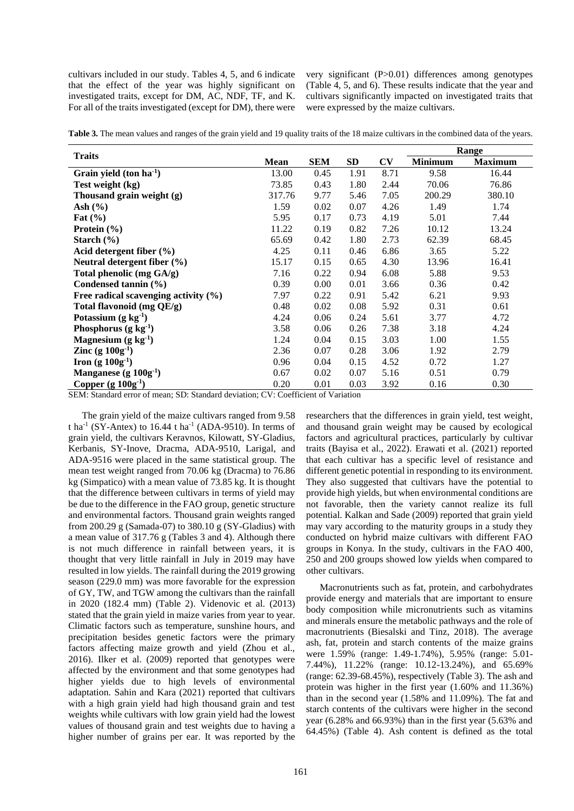cultivars included in our study. Tables 4, 5, and 6 indicate that the effect of the year was highly significant on investigated traits, except for DM, AC, NDF, TF, and K. For all of the traits investigated (except for DM), there were

very significant (P>0.01) differences among genotypes (Table 4, 5, and 6). These results indicate that the year and cultivars significantly impacted on investigated traits that were expressed by the maize cultivars.

|  | Table 3. The mean values and ranges of the grain yield and 19 quality traits of the 18 maize cultivars in the combined data of the years. |  |
|--|-------------------------------------------------------------------------------------------------------------------------------------------|--|
|--|-------------------------------------------------------------------------------------------------------------------------------------------|--|

|                                          |             |            |      |                        |                | Range          |
|------------------------------------------|-------------|------------|------|------------------------|----------------|----------------|
| <b>Traits</b>                            | <b>Mean</b> | <b>SEM</b> | SD   | $\mathbf{C}\mathbf{V}$ | <b>Minimum</b> | <b>Maximum</b> |
| Grain yield $(ton ha1)$                  | 13.00       | 0.45       | 1.91 | 8.71                   | 9.58           | 16.44          |
| Test weight (kg)                         | 73.85       | 0.43       | 1.80 | 2.44                   | 70.06          | 76.86          |
| Thousand grain weight (g)                | 317.76      | 9.77       | 5.46 | 7.05                   | 200.29         | 380.10         |
| Ash $(\% )$                              | 1.59        | 0.02       | 0.07 | 4.26                   | 1.49           | 1.74           |
| Fat $(\% )$                              | 5.95        | 0.17       | 0.73 | 4.19                   | 5.01           | 7.44           |
| Protein $(\% )$                          | 11.22       | 0.19       | 0.82 | 7.26                   | 10.12          | 13.24          |
| Starch $(\% )$                           | 65.69       | 0.42       | 1.80 | 2.73                   | 62.39          | 68.45          |
| Acid detergent fiber $(\% )$             | 4.25        | 0.11       | 0.46 | 6.86                   | 3.65           | 5.22           |
| Neutral detergent fiber $(\% )$          | 15.17       | 0.15       | 0.65 | 4.30                   | 13.96          | 16.41          |
| Total phenolic (mg GA/g)                 | 7.16        | 0.22       | 0.94 | 6.08                   | 5.88           | 9.53           |
| Condensed tannin (%)                     | 0.39        | 0.00       | 0.01 | 3.66                   | 0.36           | 0.42           |
| Free radical scavenging activity $(\% )$ | 7.97        | 0.22       | 0.91 | 5.42                   | 6.21           | 9.93           |
| Total flavonoid (mg QE/g)                | 0.48        | 0.02       | 0.08 | 5.92                   | 0.31           | 0.61           |
| Potassium $(g \log^1)$                   | 4.24        | 0.06       | 0.24 | 5.61                   | 3.77           | 4.72           |
| Phosphorus (g $kg1$ )                    | 3.58        | 0.06       | 0.26 | 7.38                   | 3.18           | 4.24           |
| Magnesium $(g \log^1)$                   | 1.24        | 0.04       | 0.15 | 3.03                   | 1.00           | 1.55           |
| <b>Zinc</b> (g $100g^{-1}$ )             | 2.36        | 0.07       | 0.28 | 3.06                   | 1.92           | 2.79           |
| <b>Iron</b> (g $100g^{1}$ )              | 0.96        | 0.04       | 0.15 | 4.52                   | 0.72           | 1.27           |
| Manganese (g $100g-1$ )                  | 0.67        | 0.02       | 0.07 | 5.16                   | 0.51           | 0.79           |
| Copper $(g 100g1)$                       | 0.20        | 0.01       | 0.03 | 3.92                   | 0.16           | 0.30           |

SEM: Standard error of mean; SD: Standard deviation; CV: Coefficient of Variation

The grain yield of the maize cultivars ranged from 9.58 t ha<sup>-1</sup> (SY-Antex) to 16.44 t ha<sup>-1</sup> (ADA-9510). In terms of grain yield, the cultivars Keravnos, Kilowatt, SY-Gladius, Kerbanis, SY-Inove, Dracma, ADA-9510, Larigal, and ADA-9516 were placed in the same statistical group. The mean test weight ranged from 70.06 kg (Dracma) to 76.86 kg (Simpatico) with a mean value of 73.85 kg. It is thought that the difference between cultivars in terms of yield may be due to the difference in the FAO group, genetic structure and environmental factors. Thousand grain weights ranged from 200.29 g (Samada-07) to 380.10 g (SY-Gladius) with a mean value of 317.76 g (Tables 3 and 4). Although there is not much difference in rainfall between years, it is thought that very little rainfall in July in 2019 may have resulted in low yields. The rainfall during the 2019 growing season (229.0 mm) was more favorable for the expression of GY, TW, and TGW among the cultivars than the rainfall in 2020 (182.4 mm) (Table 2). Videnovic et al. (2013) stated that the grain yield in maize varies from year to year. Climatic factors such as temperature, sunshine hours, and precipitation besides genetic factors were the primary factors affecting maize growth and yield (Zhou et al., 2016). Ilker et al. (2009) reported that genotypes were affected by the environment and that some genotypes had higher yields due to high levels of environmental adaptation. Sahin and Kara (2021) reported that cultivars with a high grain yield had high thousand grain and test weights while cultivars with low grain yield had the lowest values of thousand grain and test weights due to having a higher number of grains per ear. It was reported by the

researchers that the differences in grain yield, test weight, and thousand grain weight may be caused by ecological factors and agricultural practices, particularly by cultivar traits (Bayisa et al., 2022). Erawati et al. (2021) reported that each cultivar has a specific level of resistance and different genetic potential in responding to its environment. They also suggested that cultivars have the potential to provide high yields, but when environmental conditions are not favorable, then the variety cannot realize its full potential. Kalkan and Sade (2009) reported that grain yield may vary according to the maturity groups in a study they conducted on hybrid maize cultivars with different FAO groups in Konya. In the study, cultivars in the FAO 400, 250 and 200 groups showed low yields when compared to other cultivars.

Macronutrients such as fat, protein, and carbohydrates provide energy and materials that are important to ensure body composition while micronutrients such as vitamins and minerals ensure the metabolic pathways and the role of macronutrients (Biesalski and Tinz, 2018). The average ash, fat, protein and starch contents of the maize grains were 1.59% (range: 1.49-1.74%), 5.95% (range: 5.01- 7.44%), 11.22% (range: 10.12-13.24%), and 65.69% (range: 62.39-68.45%), respectively (Table 3). The ash and protein was higher in the first year (1.60% and 11.36%) than in the second year (1.58% and 11.09%). The fat and starch contents of the cultivars were higher in the second year (6.28% and 66.93%) than in the first year (5.63% and 64.45%) (Table 4). Ash content is defined as the total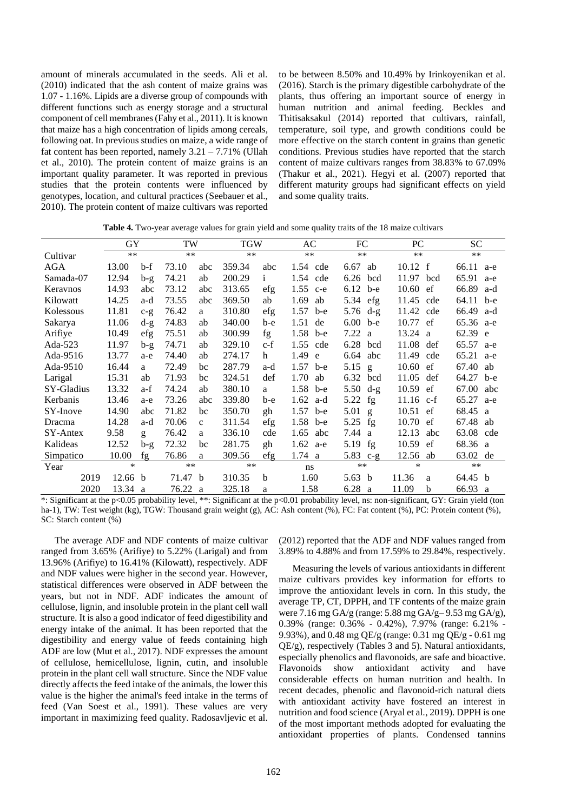amount of minerals accumulated in the seeds. Ali et al. (2010) indicated that the ash content of maize grains was 1.07 - 1.16%. Lipids are a diverse group of compounds with different functions such as energy storage and a structural component of cell membranes (Fahy et al., 2011). It is known that maize has a high concentration of lipids among cereals, following oat. In previous studies on maize, a wide range of fat content has been reported, namely  $3.21 - 7.71\%$  (Ullah et al., 2010). The protein content of maize grains is an important quality parameter. It was reported in previous studies that the protein contents were influenced by genotypes, location, and cultural practices (Seebauer et al., 2010). The protein content of maize cultivars was reported to be between 8.50% and 10.49% by Irinkoyenikan et al. (2016). Starch is the primary digestible carbohydrate of the plants, thus offering an important source of energy in human nutrition and animal feeding. Beckles and Thitisaksakul (2014) reported that cultivars, rainfall, temperature, soil type, and growth conditions could be more effective on the starch content in grains than genetic conditions. Previous studies have reported that the starch content of maize cultivars ranges from 38.83% to 67.09% (Thakur et al., 2021). Hegyi et al. (2007) reported that different maturity groups had significant effects on yield and some quality traits.

**Table 4.** Two-year average values for grain yield and some quality traits of the 18 maize cultivars

|            | GY      |       | TW      |              | <b>TGW</b> |              | AC         |     | FC                 |     | PC                |     | <b>SC</b> |     |
|------------|---------|-------|---------|--------------|------------|--------------|------------|-----|--------------------|-----|-------------------|-----|-----------|-----|
| Cultivar   | $**$    |       | $**$    |              | $**$       |              | $**$       |     | $***$              |     | $***$             |     | $***$     |     |
| AGA        | 13.00   | b-f   | 73.10   | abc          | 359.34     | abc          | 1.54 cde   |     | 6.67               | ab  | $10.12 \text{ f}$ |     | 66.11     | a-e |
| Samada-07  | 12.94   | $b-g$ | 74.21   | ab           | 200.29     | $\mathbf{i}$ | 1.54 cde   |     | 6.26 bcd           |     | 11.97             | bcd | 65.91     | a-e |
| Keraynos   | 14.93   | abc   | 73.12   | abc          | 313.65     | efg          | $1.55$ c-e |     | $6.12$ b-e         |     | 10.60             | ef  | 66.89 a-d |     |
| Kilowatt   | 14.25   | a-d   | 73.55   | abc          | 369.50     | ab           | 1.69       | ab  | 5.34 efg           |     | 11.45             | cde | 64.11     | b-e |
| Kolessous  | 11.81   | $c-g$ | 76.42   | a            | 310.80     | efg          | $1.57$ b-e |     | $5.76 \text{ d-g}$ |     | 11.42             | cde | 66.49 a-d |     |
| Sakarya    | 11.06   | $d-g$ | 74.83   | ab           | 340.00     | b-e          | $1.51$ de  |     | $6.00$ b-e         |     | 10.77 ef          |     | 65.36 a-e |     |
| Arifiye    | 10.49   | efg   | 75.51   | ab           | 300.99     | fg           | $1.58$ b-e |     | 7.22 a             |     | 13.24 a           |     | $62.39$ e |     |
| Ada-523    | 11.97   | $b-g$ | 74.71   | ab           | 329.10     | c-f          | 1.55 cde   |     | 6.28 bcd           |     | 11.08 def         |     | 65.57 a-e |     |
| Ada-9516   | 13.77   | a-e   | 74.40   | ab           | 274.17     | h            | 1.49 e     |     | 6.64               | abc | 11.49             | cde | 65.21     | a-e |
| Ada-9510   | 16.44   | a     | 72.49   | bc           | 287.79     | a-d          | 1.57 b-e   |     | $5.15$ g           |     | 10.60             | ef  | 67.40 ab  |     |
| Larigal    | 15.31   | ab    | 71.93   | bc           | 324.51     | def          | $1.70$ ab  |     | 6.32 bcd           |     | 11.05             | def | 64.27 b-e |     |
| SY-Gladius | 13.32   | a-f   | 74.24   | ab           | 380.10     | a            | $1.58$ b-e |     | 5.50 $d-g$         |     | $10.59$ ef        |     | 67.00     | abc |
| Kerbanis   | 13.46   | a-e   | 73.26   | abc          | 339.80     | b-е          | $1.62$ a-d |     | 5.22 fg            |     | $11.16$ c-f       |     | 65.27     | a-e |
| SY-Inove   | 14.90   | abc   | 71.82   | bc           | 350.70     | gh           | $1.57$ b-e |     | $5.01$ g           |     | $10.51$ ef        |     | 68.45 a   |     |
| Dracma     | 14.28   | a-d   | 70.06   | $\mathbf{C}$ | 311.54     | efg          | 1.58 b-e   |     | 5.25               | fg  | 10.70             | ef  | 67.48 ab  |     |
| SY-Antex   | 9.58    | g     | 76.42   | a            | 336.10     | cde          | $1.65$ abc |     | 7.44 a             |     | 12.13             | abc | 63.08 cde |     |
| Kalideas   | 12.52   | $b-g$ | 72.32   | bc           | 281.75     | gh           | 1.62       | a-e | 5.19 $fg$          |     | 10.59             | ef  | 68.36 a   |     |
| Simpatico  | 10.00   | fg    | 76.86   | a            | 309.56     | efg          | 1.74 a     |     | 5.83 $c-g$         |     | 12.56 ab          |     | 63.02 de  |     |
| Year       | *       |       | $***$   |              | **         |              | ns         |     | $***$              |     | $\ast$            |     | $***$     |     |
| 2019       | 12.66 b |       | 71.47   | b            | 310.35     | b            | 1.60       |     | 5.63 b             |     | 11.36             | a   | 64.45 b   |     |
| 2020       | 13.34 a |       | 76.22 a |              | 325.18     | a            | 1.58       |     | 6.28 a             |     | 11.09             | b   | 66.93 a   |     |

\*: Significant at the p<0.05 probability level, \*\*: Significant at the p<0.01 probability level, ns: non-significant, GY: Grain yield (ton ha-1), TW: Test weight (kg), TGW: Thousand grain weight (g), AC: Ash content (%), FC: Fat content (%), PC: Protein content (%), SC: Starch content (%)

The average ADF and NDF contents of maize cultivar ranged from 3.65% (Arifiye) to 5.22% (Larigal) and from 13.96% (Arifiye) to 16.41% (Kilowatt), respectively. ADF and NDF values were higher in the second year. However, statistical differences were observed in ADF between the years, but not in NDF. ADF indicates the amount of cellulose, lignin, and insoluble protein in the plant cell wall structure. It is also a good indicator of feed digestibility and energy intake of the animal. It has been reported that the digestibility and energy value of feeds containing high ADF are low (Mut et al., 2017). NDF expresses the amount of cellulose, hemicellulose, lignin, cutin, and insoluble protein in the plant cell wall structure. Since the NDF value directly affects the feed intake of the animals, the lower this value is the higher the animal's feed intake in the terms of feed (Van Soest et al., 1991). These values are very important in maximizing feed quality. Radosavljevic et al.

(2012) reported that the ADF and NDF values ranged from 3.89% to 4.88% and from 17.59% to 29.84%, respectively.

Measuring the levels of various antioxidants in different maize cultivars provides key information for efforts to improve the antioxidant levels in corn. In this study, the average TP, CT, DPPH, and TF contents of the maize grain were 7.16 mg GA/g (range: 5.88 mg GA/g– 9.53 mg GA/g), 0.39% (range: 0.36% - 0.42%), 7.97% (range: 6.21% - 9.93%), and 0.48 mg QE/g (range: 0.31 mg QE/g - 0.61 mg QE/g), respectively (Tables 3 and 5). Natural antioxidants, especially phenolics and flavonoids, are safe and bioactive. Flavonoids show antioxidant activity and have considerable effects on human nutrition and health. In recent decades, phenolic and flavonoid-rich natural diets with antioxidant activity have fostered an interest in nutrition and food science (Aryal et al., 2019). DPPH is one of the most important methods adopted for evaluating the antioxidant properties of plants. Condensed tannins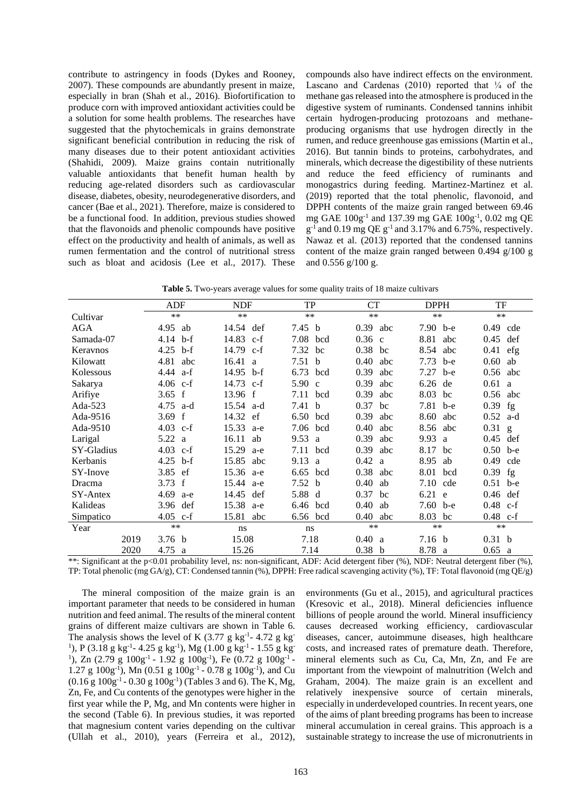contribute to astringency in foods (Dykes and Rooney, 2007). These compounds are abundantly present in maize, especially in bran (Shah et al., 2016). Biofortification to produce corn with improved antioxidant activities could be a solution for some health problems. The researches have suggested that the phytochemicals in grains demonstrate significant beneficial contribution in reducing the risk of many diseases due to their potent antioxidant activities (Shahidi, 2009). Maize grains contain nutritionally valuable antioxidants that benefit human health by reducing age-related disorders such as cardiovascular disease, diabetes, obesity, neurodegenerative disorders, and cancer (Bae et al., 2021). Therefore, maize is considered to be a functional food. In addition, previous studies showed that the flavonoids and phenolic compounds have positive effect on the productivity and health of animals, as well as rumen fermentation and the control of nutritional stress such as bloat and acidosis (Lee et al., 2017). These

compounds also have indirect effects on the environment. Lascano and Cardenas  $(2010)$  reported that  $\frac{1}{4}$  of the methane gas released into the atmosphere is produced in the digestive system of ruminants. Condensed tannins inhibit certain hydrogen-producing protozoans and methaneproducing organisms that use hydrogen directly in the rumen, and reduce greenhouse gas emissions (Martin et al., 2016). But tannin binds to proteins, carbohydrates, and minerals, which decrease the digestibility of these nutrients and reduce the feed efficiency of ruminants and monogastrics during feeding. Martinez-Martinez et al. (2019) reported that the total phenolic, flavonoid, and DPPH contents of the maize grain ranged between 69.46 mg GAE 100g-1 and 137.39 mg GAE 100g-1 , 0.02 mg QE  $g^{-1}$  and 0.19 mg QE  $g^{-1}$  and 3.17% and 6.75%, respectively. Nawaz et al. (2013) reported that the condensed tannins content of the maize grain ranged between 0.494 g/100 g and 0.556 g/100 g.

**Table 5.** Two-years average values for some quality traits of 18 maize cultivars

|            |      | <b>ADF</b>          | <b>NDF</b>            | TP                | CT          | <b>DPPH</b>       | TF                |
|------------|------|---------------------|-----------------------|-------------------|-------------|-------------------|-------------------|
| Cultivar   |      | $**$                | $***$                 | $**$              | $***$       | $**$              | $**$              |
| <b>AGA</b> |      | 4.95 ab             | 14.54 def             | 7.45 b            | $0.39$ abc  | 7.90 b-e          | 0.49<br>cde       |
| Samada-07  |      | $b-f$<br>4.14       | 14.83 c-f             | 7.08<br>bcd       | $0.36$ c    | 8.81<br>abc       | 0.45<br>def       |
| Keravnos   |      | 4.25<br>b-f         | 14.79 c-f             | 7.32<br>bc        | $0.38$ bc   | 8.54<br>abc       | 0.41<br>efg       |
| Kilowatt   |      | 4.81<br>abc         | 16.41<br><sub>a</sub> | 7.51 b            | 0.40<br>abc | 7.73<br>b-e       | 0.60<br>ab        |
| Kolessous  |      | 4.44<br>a-f         | 14.95 b-f             | 6.73<br>bcd       | 0.39<br>abc | 7.27<br>b-e       | 0.56<br>abc       |
| Sakarya    |      | 4.06<br>$c-f$       | 14.73<br>-c-f         | 5.90 c            | 0.39<br>abc | 6.26<br>de        | 0.61<br>a         |
| Arifiye    |      | 3.65 f              | 13.96 f               | 7.11 bcd          | 0.39<br>abc | 8.03 bc           | 0.56<br>abc       |
| Ada-523    |      | $4.75$ a-d          | 15.54 a-d             | 7.41 b            | 0.37<br>bc  | 7.81 b-e          | $0.39$ fg         |
| Ada-9516   |      | 3.69<br>$\mathbf f$ | 14.32 ef              | 6.50<br>bcd       | 0.39<br>abc | 8.60<br>abc       | 0.52<br>a-d       |
| Ada-9510   |      | $4.03$ c-f          | 15.33<br>a-e          | 7.06<br>bcd       | 0.40<br>abc | 8.56<br>abc       | $0.31$ g          |
| Larigal    |      | 5.22<br>a           | 16.11<br>ab           | 9.53 a            | 0.39<br>abc | 9.93<br>a         | 0.45<br>def       |
| SY-Gladius |      | 4.03 $c-f$          | 15.29<br>a-e          | 7.11<br>bcd       | 0.39<br>abc | 8.17<br>bc        | $0.50$ b-e        |
| Kerbanis   |      | 4.25<br>b-f         | 15.85<br>abc          | 9.13<br>a         | 0.42<br>a   | 8.95<br>ab        | 0.49<br>cde       |
| SY-Inove   |      | 3.85<br>ef          | 15.36 a-e             | 6.65<br>bcd       | 0.38<br>abc | 8.01<br>bcd       | $0.39$ fg         |
| Dracma     |      | 3.73<br>f           | 15.44 a-e             | 7.52 <sub>b</sub> | 0.40<br>ab  | 7.10<br>cde       | $0.51$ b-e        |
| SY-Antex   |      | 4.69<br>a-e         | 14.45<br>def          | 5.88 d            | 0.37<br>bc  | 6.21<br>e         | 0.46<br>def       |
| Kalideas   |      | 3.96<br>def         | 15.38<br>a-e          | 6.46 bcd          | 0.40<br>ab  | 7.60<br>b-e       | $0.48$ c-f        |
| Simpatico  |      | 4.05<br>$c-f$       | 15.81<br>abc          | 6.56 bcd          | 0.40<br>abc | 8.03 bc           | 0.48<br>$c-f$     |
| Year       |      | $**$                | ns                    | ns                | **          | $**$              | $**$              |
|            | 2019 | 3.76 <sub>b</sub>   | 15.08                 | 7.18              | 0.40 a      | 7.16 <sub>b</sub> | 0.31 <sub>b</sub> |
|            | 2020 | 4.75 a              | 15.26                 | 7.14              | 0.38 b      | 8.78<br>a         | 0.65<br>a         |

\*\*: Significant at the p<0.01 probability level, ns: non-significant, ADF: Acid detergent fiber (%), NDF: Neutral detergent fiber (%), TP: Total phenolic (mg GA/g), CT: Condensed tannin (%), DPPH: Free radical scavenging activity (%), TF: Total flavonoid (mg QE/g)

The mineral composition of the maize grain is an important parameter that needs to be considered in human nutrition and feed animal. The results of the mineral content grains of different maize cultivars are shown in Table 6. The analysis shows the level of K  $(3.77 \text{ g kg}^{-1} - 4.72 \text{ g kg}^{-1})$ <sup>1</sup>), P (3.18 g kg<sup>-1</sup>- 4.25 g kg<sup>-1</sup>), Mg (1.00 g kg<sup>-1</sup> - 1.55 g kg<sup>-1</sup> <sup>1</sup>), Zn (2.79 g  $100g^{-1}$  - 1.92 g  $100g^{-1}$ ), Fe (0.72 g  $100g^{-1}$  -1.27 g  $100g^{-1}$ ), Mn  $(0.51 g 100g^{-1} - 0.78 g 100g^{-1})$ , and Cu  $(0.16 \text{ g } 100 \text{ g}^{-1} - 0.30 \text{ g } 100 \text{ g}^{-1})$  (Tables 3 and 6). The K, Mg, Zn, Fe, and Cu contents of the genotypes were higher in the first year while the P, Mg, and Mn contents were higher in the second (Table 6). In previous studies, it was reported that magnesium content varies depending on the cultivar (Ullah et al., 2010), years (Ferreira et al., 2012),

environments (Gu et al., 2015), and agricultural practices (Kresovic et al., 2018). Mineral deficiencies influence billions of people around the world. Mineral insufficiency causes decreased working efficiency, cardiovascular diseases, cancer, autoimmune diseases, high healthcare costs, and increased rates of premature death. Therefore, mineral elements such as Cu, Ca, Mn, Zn, and Fe are important from the viewpoint of malnutrition (Welch and Graham, 2004). The maize grain is an excellent and relatively inexpensive source of certain minerals, especially in underdeveloped countries. In recent years, one of the aims of plant breeding programs has been to increase mineral accumulation in cereal grains. This approach is a sustainable strategy to increase the use of micronutrients in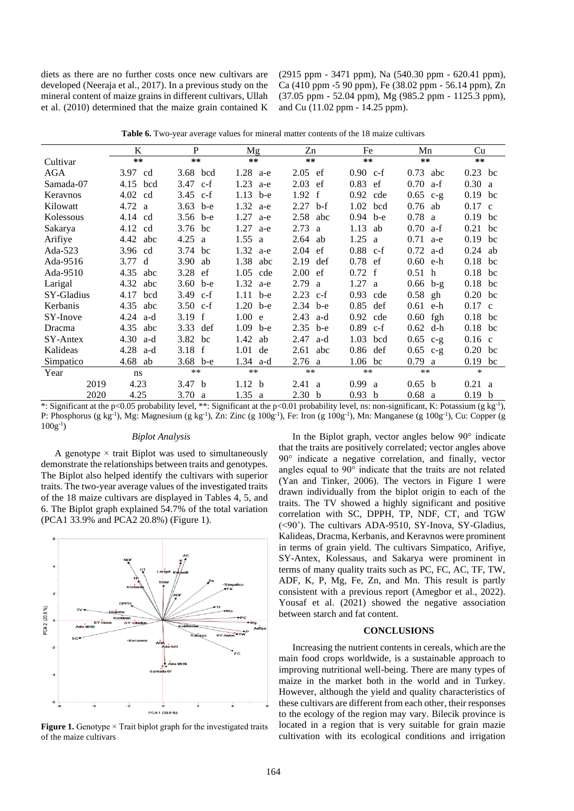diets as there are no further costs once new cultivars are developed (Neeraja et al., 2017). In a previous study on the mineral content of maize grains in different cultivars, Ullah et al. (2010) determined that the maize grain contained K

(2915 ppm - 3471 ppm), Na (540.30 ppm - 620.41 ppm), Ca (410 ppm -5 90 ppm), Fe (38.02 ppm - 56.14 ppm), Zn (37.05 ppm - 52.04 ppm), Mg (985.2 ppm - 1125.3 ppm), and Cu (11.02 ppm - 14.25 ppm).

|                  | K                 | P                                |                   | Zn                                        | Fe                 | Mn         | Cu                                       |
|------------------|-------------------|----------------------------------|-------------------|-------------------------------------------|--------------------|------------|------------------------------------------|
| Cultivar         | **                | **                               | **                | $**$                                      | **                 | $**$       | $**$                                     |
| AGA              | 3.97 cd           | 3.68 bcd                         | $1.28$ a-e        | $2.05$ ef                                 | $0.90 \text{ c-f}$ | $0.73$ abc | $0.23$ bc                                |
| Samada-07        | 4.15 bcd          | 3.47 $c-f$                       | 1.23 a-e          | $2.03$ ef                                 | $0.83$ ef          | $0.70 a-f$ | 0.30 a                                   |
| Keravnos         | $4.02 \text{ cd}$ | 3.45 $c-f$                       | $1.13$ b-e        | 1.92 f                                    | $0.92$ cde         | $0.65$ c-g | $0.19$ bc                                |
| Kilowatt         | 4.72 a            | 3.63 $b-e$                       | $1.32$ a-e        | $2.27$ b-f                                | $1.02$ bcd         | $0.76$ ab  | $0.17$ c                                 |
| Kolessous        | 4.14 cd           | 3.56 $b-e$                       | 1.27<br>a-e       | $2.58$ abc                                | $0.94$ b-e         | 0.78 a     | $0.19$ bc                                |
| Sakarya          | 4.12 cd           | 3.76 bc                          | $1.27$ a-e        | 2.73 a                                    | 1.13<br>ab         | $0.70 a-f$ | $0.21$ bc                                |
| Arifiye          | 4.42 abc          | 4.25 a                           | 1.55 a            | $2.64$ ab                                 | 1.25 a             | $0.71$ a-e | $0.19$ bc                                |
| Ada-523          | 3.96 cd           | 3.74 bc                          | $1.32$ a-e        | $2.04$ ef                                 | $0.88$ c-f         | $0.72$ a-d | $0.24$ ab                                |
| Ada-9516         | 3.77 d            | $3.90$ ab                        | 1.38 abc          | 2.19<br>def                               | $0.78$ ef          | $0.60$ e-h | $0.18$ bc                                |
| Ada-9510         | 4.35 abc          | 3.28 ef                          | 1.05 cde          | $2.00$ ef                                 | 0.72 f             | 0.51 h     | 0.18 bc                                  |
| Larigal          | 4.32<br>abc       | 3.60 b-e                         | $1.32$ a-e        | 2.79<br>a                                 | $1.27 \text{ a}$   | $0.66$ b-g | $0.18$ bc                                |
| SY-Gladius       | 4.17<br>bcd       | 3.49 c-f                         | $1.11$ b-e        | $2.23$ c-f                                | $0.93$ cde         | $0.58$ gh  | $0.20$ bc                                |
| Kerbanis         | 4.35<br>abc       | 3.50 $c-f$                       | $1.20$ b-e        | 2.34 b-e                                  | $0.85$ def         | $0.61$ e-h | $0.17$ c                                 |
| SY-Inove         | $4.24$ a-d        | 3.19 f                           | 1.00 e            | 2.43<br>a-d                               | $0.92$ cde         | $0.60$ fgh | $0.18$ bc                                |
| Dracma           | 4.35 abc          | 3.33 def                         | $1.09$ b-e        | $2.35$ b-e                                | $0.89$ c-f         | $0.62$ d-h | $0.18$ bc                                |
| SY-Antex         | $4.30$ a-d        | 3.82 bc                          | 1.42 ab           | 2.47<br>a-d                               | 1.03 bcd           | $0.65$ c-g | $0.16$ c                                 |
| Kalideas         | $4.28$ a-d        | 3.18 f                           | $1.01$ de         | $2.61$ abc                                | $0.86$ def         | $0.65$ c-g | $0.20$ bc                                |
| Simpatico        | 4.68 ab           | 3.68 $b-e$                       | $1.34$ a-d        | 2.76 a                                    | $1.06$ bc          | 0.79 a     | 0.19<br>bc                               |
| Year             | ns                | $***$                            | **                | **                                        | $***$              | **         | *                                        |
| 2019             | 4.23              | 3.47 b                           | 1.12 <sub>b</sub> | 2.41 a                                    | 0.99 a             | 0.65 b     | 0.21 a                                   |
| 2020<br>$\cdots$ | 4.25              | 3.70 a<br>$0.05 - 1.122 + 1.380$ | 1.35 a            | 2.30 <sub>b</sub><br>$0.01 - 1.111 + 1.1$ | 0.93 b             | 0.68 a     | 0.19 b<br>$\angle$ 1 $\angle$ 1 $\angle$ |

**Table 6.** Two-year average values for mineral matter contents of the 18 maize cultivars

\*: Significant at the p<0.05 probability level, \*\*: Significant at the p<0.01 probability level, ns: non-significant, K: Potassium (g kg-1 ), P: Phosphorus (g kg<sup>-1</sup>), Mg: Magnesium (g kg<sup>-1</sup>), Zn: Zinc (g 100g<sup>-1</sup>), Fe: Iron (g 100g<sup>-1</sup>), Mn: Manganese (g 100g<sup>-1</sup>), Cu: Copper (g  $100g^{-1}$ 

## *Biplot Analysis*

A genotype  $\times$  trait Biplot was used to simultaneously demonstrate the relationships between traits and genotypes. The Biplot also helped identify the cultivars with superior traits. The two-year average values of the investigated traits of the 18 maize cultivars are displayed in Tables 4, 5, and 6. The Biplot graph explained 54.7% of the total variation (PCA1 33.9% and PCA2 20.8%) (Figure 1).



**Figure 1.** Genotype  $\times$  Trait biplot graph for the investigated traits of the maize cultivars

In the Biplot graph, vector angles below 90° indicate that the traits are positively correlated; vector angles above 90° indicate a negative correlation, and finally, vector angles equal to 90° indicate that the traits are not related (Yan and Tinker, 2006). The vectors in Figure 1 were drawn individually from the biplot origin to each of the traits. The TV showed a highly significant and positive correlation with SC, DPPH, TP, NDF, CT, and TGW (<90˚). The cultivars ADA-9510, SY-Inova, SY-Gladius, Kalideas, Dracma, Kerbanis, and Keravnos were prominent in terms of grain yield. The cultivars Simpatico, Arifiye, SY-Antex, Kolessaus, and Sakarya were prominent in terms of many quality traits such as PC, FC, AC, TF, TW, ADF, K, P, Mg, Fe, Zn, and Mn. This result is partly consistent with a previous report (Amegbor et al., 2022). Yousaf et al. (2021) showed the negative association between starch and fat content.

## **CONCLUSIONS**

Increasing the nutrient contents in cereals, which are the main food crops worldwide, is a sustainable approach to improving nutritional well-being. There are many types of maize in the market both in the world and in Turkey. However, although the yield and quality characteristics of these cultivars are different from each other, their responses to the ecology of the region may vary. Bilecik province is located in a region that is very suitable for grain mazie cultivation with its ecological conditions and irrigation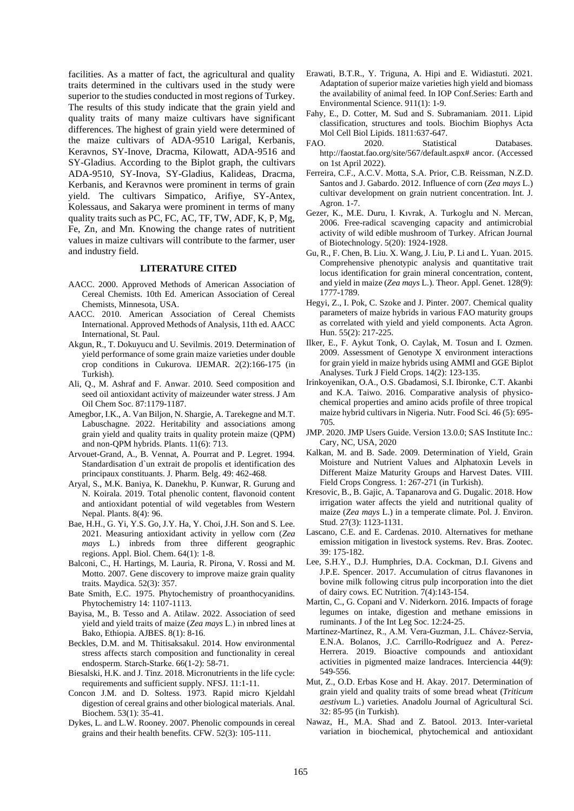facilities. As a matter of fact, the agricultural and quality traits determined in the cultivars used in the study were superior to the studies conducted in most regions of Turkey. The results of this study indicate that the grain yield and quality traits of many maize cultivars have significant differences. The highest of grain yield were determined of the maize cultivars of ADA-9510 Larigal, Kerbanis, Keravnos, SY-Inove, Dracma, Kilowatt, ADA-9516 and SY-Gladius. According to the Biplot graph, the cultivars ADA-9510, SY-Inova, SY-Gladius, Kalideas, Dracma, Kerbanis, and Keravnos were prominent in terms of grain yield. The cultivars Simpatico, Arifiye, SY-Antex, Kolessaus, and Sakarya were prominent in terms of many quality traits such as PC, FC, AC, TF, TW, ADF, K, P, Mg, Fe, Zn, and Mn. Knowing the change rates of nutritient values in maize cultivars will contribute to the farmer, user and industry field.

### **LITERATURE CITED**

- AACC. 2000. Approved Methods of American Association of Cereal Chemists. 10th Ed. American Association of Cereal Chemists, Minnesota, USA.
- AACC. 2010. American Association of Cereal Chemists International. Approved Methods of Analysis, 11th ed. AACC International, St. Paul.
- Akgun, R., T. Dokuyucu and U. Sevilmis. 2019. Determination of yield performance of some grain maize varieties under double crop conditions in Cukurova. IJEMAR. 2(2):166-175 (in Turkish).
- Ali, Q., M. Ashraf and F. Anwar. 2010. Seed composition and seed oil antioxidant activity of maizeunder water stress. J Am Oil Chem Soc. 87:1179-1187.
- Amegbor, I.K., A. Van Biljon, N. Shargie, A. Tarekegne and M.T. Labuschagne. 2022. Heritability and associations among grain yield and quality traits in quality protein maize (QPM) and non-QPM hybrids. Plants. 11(6): 713.
- Arvouet-Grand, A., B. Vennat, A. Pourrat and P. Legret. 1994. Standardisation d`un extrait de propolis et identification des principaux constituants. J. Pharm. Belg. 49: 462-468.
- Aryal, S., M.K. Baniya, K. Danekhu, P. Kunwar, R. Gurung and N. Koirala. 2019. Total phenolic content, flavonoid content and antioxidant potential of wild vegetables from Western Nepal. Plants. 8(4): 96.
- Bae, H.H., G. Yi, Y.S. Go, J.Y. Ha, Y. Choi, J.H. Son and S. Lee. 2021. Measuring antioxidant activity in yellow corn (*Zea mays* L.) inbreds from three different geographic regions. Appl. Biol. Chem. 64(1): 1-8.
- Balconi, C., H. Hartings, M. Lauria, R. Pirona, V. Rossi and M. Motto. 2007. Gene discovery to improve maize grain quality traits. Maydica. 52(3): 357.
- Bate Smith, E.C. 1975. Phytochemistry of proanthocyanidins. Phytochemistry 14: 1107-1113.
- Bayisa, M., B. Tesso and A. Atilaw. 2022. Association of seed yield and yield traits of maize (*Zea mays* L.) in ınbred lines at Bako, Ethiopia. AJBES. 8(1): 8-16.
- Beckles, D.M. and M. Thitisaksakul. 2014. How environmental stress affects starch composition and functionality in cereal endosperm. Starch‐Starke. 66(1-2): 58-71.
- Biesalski, H.K. and J. Tinz. 2018. Micronutrients in the life cycle: requirements and sufficient supply. NFSJ. 11:1-11.
- Concon J.M. and D. Soltess. 1973. Rapid micro Kjeldahl digestion of cereal grains and other biological materials. Anal. Biochem. 53(1): 35-41.
- Dykes, L. and L.W. Rooney. 2007. Phenolic compounds in cereal grains and their health benefits. CFW. 52(3): 105-111.
- Erawati, B.T.R., Y. Triguna, A. Hipi and E. Widiastuti. 2021. Adaptation of superior maize varieties high yield and biomass the availability of animal feed. In IOP Conf.Series: Earth and Environmental Science. 911(1): 1-9.
- Fahy, E., D. Cotter, M. Sud and S. Subramaniam. 2011. Lipid classification, structures and tools. Biochim Biophys Acta Mol Cell Biol Lipids. 1811:637-647.
- FAO. 2020. Statistical Databases. [http://faostat.fao.org/site/567/default.aspx#](http://faostat.fao.org/site/567/default.aspx) ancor. (Accessed on 1st April 2022).
- Ferreira, C.F., A.C.V. Motta, S.A. Prior, C.B. Reissman, N.Z.D. Santos and J. Gabardo. 2012. Influence of corn (*Zea mays* L.) cultivar development on grain nutrient concentration. Int. J. Agron. 1-7.
- Gezer, K., M.E. Duru, I. Kıvrak, A. Turkoglu and N. Mercan, 2006. Free-radical scavenging capacity and antimicrobial activity of wild edible mushroom of Turkey. African Journal of Biotechnology. 5(20): 1924-1928.
- Gu, R., F. Chen, B. Liu. X. Wang, J. Liu, P. Li and L. Yuan. 2015. Comprehensive phenotypic analysis and quantitative trait locus identification for grain mineral concentration, content, and yield in maize (*Zea mays* L.). Theor. Appl. Genet. 128(9): 1777-1789.
- Hegyi, Z., I. Pok, C. Szoke and J. Pinter. 2007. Chemical quality parameters of maize hybrids in various FAO maturity groups as correlated with yield and yield components. Acta Agron. Hun. 55(2): 217-225.
- Ilker, E., F. Aykut Tonk, O. Caylak, M. Tosun and I. Ozmen. 2009. Assessment of Genotype X environment interactions for grain yield in maize hybrids using AMMI and GGE Biplot Analyses. Turk J Field Crops. 14(2): 123-135.
- Irinkoyenikan, O.A., O.S. Gbadamosi, S.I. Ibironke, C.T. Akanbi and K.A. Taiwo. 2016. Comparative analysis of physicochemical properties and amino acids profile of three tropical maize hybrid cultivars in Nigeria. Nutr. Food Sci. 46 (5): 695- 705.
- JMP. 2020. JMP Users Guide. Version 13.0.0; SAS Institute Inc.: Cary, NC, USA, 2020
- Kalkan, M. and B. Sade. 2009. Determination of Yield, Grain Moisture and Nutrient Values and Alphatoxin Levels in Different Maize Maturity Groups and Harvest Dates. VIII. Field Crops Congress. 1: 267-271 (in Turkish).
- Kresovic, B., B. Gajic, A. Tapanarova and G. Dugalic. 2018. How irrigation water affects the yield and nutritional quality of maize (*Zea mays* L.) in a temperate climate. Pol. J. Environ. Stud. 27(3): 1123-1131.
- Lascano, C.E. and E. Cardenas. 2010. Alternatives for methane emission mitigation in livestock systems. Rev. Bras. Zootec. 39: 175-182.
- Lee, S.H.Y., D.J. Humphries, D.A. Cockman, D.I. Givens and J.P.E. Spencer. 2017. Accumulation of citrus flavanones in bovine milk following citrus pulp incorporation into the diet of dairy cows. EC Nutrition. 7(4):143-154.
- Martin, C., G. Copani and V. Niderkorn. 2016. Impacts of forage legumes on intake, digestion and methane emissions in ruminants. J of the Int Leg Soc. 12:24-25.
- Martínez-Martínez, R., A.M. Vera-Guzman, J.L. Chávez-Servia, E.N.A. Bolanos, J.C. Carrillo-Rodríguez and A. Perez-Herrera. 2019. Bioactive compounds and antioxidant activities in pigmented maize landraces. Interciencia 44(9): 549-556.
- Mut, Z., O.D. Erbas Kose and H. Akay. 2017. Determination of grain yield and quality traits of some bread wheat (*Triticum aestivum* L.) varieties. Anadolu Journal of Agricultural Sci. 32: 85-95 (in Turkish).
- Nawaz, H., M.A. Shad and Z. Batool. 2013. Inter-varietal variation in biochemical, phytochemical and antioxidant